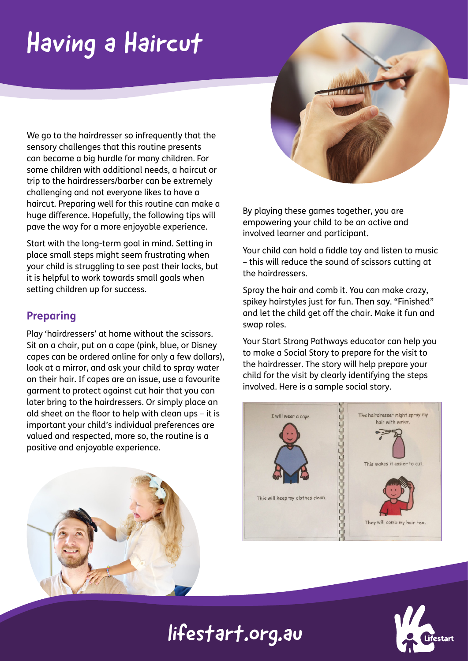# Having a Haircut

We go to the hairdresser so infrequently that the sensory challenges that this routine presents can become a big hurdle for many children. For some children with additional needs, a haircut or trip to the hairdressers/barber can be extremely challenging and not everyone likes to have a haircut. Preparing well for this routine can make a huge difference. Hopefully, the following tips will pave the way for a more enjoyable experience.

Start with the long-term goal in mind. Setting in place small steps might seem frustrating when your child is struggling to see past their locks, but it is helpful to work towards small goals when setting children up for success.

#### **Preparing**

Play 'hairdressers' at home without the scissors. Sit on a chair, put on a cape (pink, blue, or Disney capes can be ordered online for only a few dollars), look at a mirror, and ask your child to spray water on their hair. If capes are an issue, use a favourite garment to protect against cut hair that you can later bring to the hairdressers. Or simply place an old sheet on the floor to help with clean ups – it is important your child's individual preferences are valued and respected, more so, the routine is a positive and enjoyable experience.





By playing these games together, you are empowering your child to be an active and involved learner and participant.

Your child can hold a fiddle toy and listen to music – this will reduce the sound of scissors cutting at the hairdressers.

Spray the hair and comb it. You can make crazy, spikey hairstyles just for fun. Then say. "Finished" and let the child get off the chair. Make it fun and swap roles.

Your Start Strong Pathways educator can help you to make a Social Story to prepare for the visit to the hairdresser. The story will help prepare your child for the visit by clearly identifying the steps involved. Here is a sample social story.



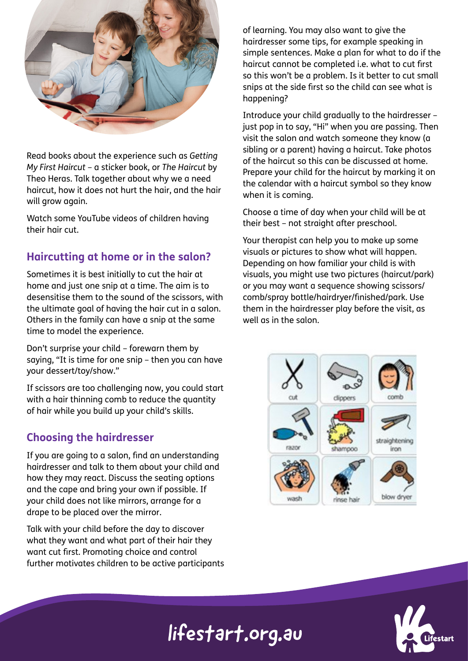

Read books about the experience such as *Getting My First Haircut* – a sticker book, or *The Haircut* by Theo Heras. Talk together about why we a need haircut, how it does not hurt the hair, and the hair will grow again.

Watch some YouTube videos of children having their hair cut.

#### **Haircutting at home or in the salon?**

Sometimes it is best initially to cut the hair at home and just one snip at a time. The aim is to desensitise them to the sound of the scissors, with the ultimate goal of having the hair cut in a salon. Others in the family can have a snip at the same time to model the experience.

Don't surprise your child – forewarn them by saying, "It is time for one snip – then you can have your dessert/toy/show."

If scissors are too challenging now, you could start with a hair thinning comb to reduce the quantity of hair while you build up your child's skills.

#### **Choosing the hairdresser**

If you are going to a salon, find an understanding hairdresser and talk to them about your child and how they may react. Discuss the seating options and the cape and bring your own if possible. If your child does not like mirrors, arrange for a drape to be placed over the mirror.

Talk with your child before the day to discover what they want and what part of their hair they want cut first. Promoting choice and control further motivates children to be active participants of learning. You may also want to give the hairdresser some tips, for example speaking in simple sentences. Make a plan for what to do if the haircut cannot be completed i.e. what to cut first so this won't be a problem. Is it better to cut small snips at the side first so the child can see what is happening?

Introduce your child gradually to the hairdresser – just pop in to say, "Hi" when you are passing. Then visit the salon and watch someone they know (a sibling or a parent) having a haircut. Take photos of the haircut so this can be discussed at home. Prepare your child for the haircut by marking it on the calendar with a haircut symbol so they know when it is coming.

Choose a time of day when your child will be at their best – not straight after preschool.

Your therapist can help you to make up some visuals or pictures to show what will happen. Depending on how familiar your child is with visuals, you might use two pictures (haircut/park) or you may want a sequence showing scissors/ comb/spray bottle/hairdryer/finished/park. Use them in the hairdresser play before the visit, as well as in the salon.



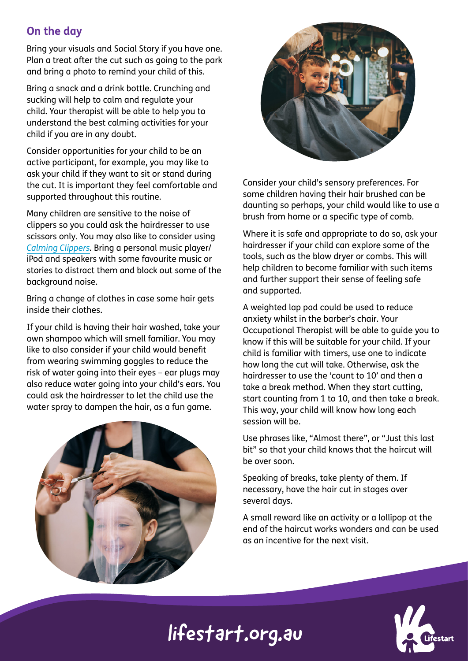#### **On the day**

Bring your visuals and Social Story if you have one. Plan a treat after the cut such as going to the park and bring a photo to remind your child of this.

Bring a snack and a drink bottle. Crunching and sucking will help to calm and regulate your child. Your therapist will be able to help you to understand the best calming activities for your child if you are in any doubt.

Consider opportunities for your child to be an active participant, for example, you may like to ask your child if they want to sit or stand during the cut. It is important they feel comfortable and supported throughout this routine.

Many children are sensitive to the noise of clippers so you could ask the hairdresser to use scissors only. You may also like to consider using *[Calming Clippers](https://www.amazon.com/gp/product/B00XMC5I8M?ie=UTF8&tag=sensprocdisop-20&camp=1789&linkCode=xm2&creativeASIN=B00XMC5I8M).* Bring a personal music player/ iPod and speakers with some favourite music or stories to distract them and block out some of the background noise.

Bring a change of clothes in case some hair gets inside their clothes.

If your child is having their hair washed, take your own shampoo which will smell familiar. You may like to also consider if your child would benefit from wearing swimming goggles to reduce the risk of water going into their eyes – ear plugs may also reduce water going into your child's ears. You could ask the hairdresser to let the child use the water spray to dampen the hair, as a fun game.





Consider your child's sensory preferences. For some children having their hair brushed can be daunting so perhaps, your child would like to use a brush from home or a specific type of comb.

Where it is safe and appropriate to do so, ask your hairdresser if your child can explore some of the tools, such as the blow dryer or combs. This will help children to become familiar with such items and further support their sense of feeling safe and supported.

A weighted lap pad could be used to reduce anxiety whilst in the barber's chair. Your Occupational Therapist will be able to guide you to know if this will be suitable for your child. If your child is familiar with timers, use one to indicate how long the cut will take. Otherwise, ask the hairdresser to use the 'count to 10' and then a take a break method. When they start cutting, start counting from 1 to 10, and then take a break. This way, your child will know how long each session will be.

Use phrases like, "Almost there", or "Just this last bit" so that your child knows that the haircut will be over soon.

Speaking of breaks, take plenty of them. If necessary, have the hair cut in stages over several days.

A small reward like an activity or a lollipop at the end of the haircut works wonders and can be used as an incentive for the next visit.